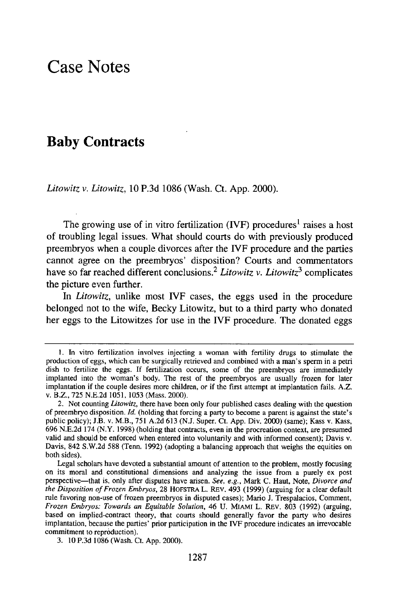## Case Notes

## **Baby Contracts**

*Litowitz v. Litowitz,* **10 P.3d 1086** (Wash. Ct. **App.** 2000).

The growing use of in vitro fertilization (IVF) procedures<sup>1</sup> raises a host of troubling legal issues. What should courts do with previously produced preembryos when a couple divorces after the IVF procedure and the parties cannot agree on the preembryos' disposition? Courts and commentators have so far reached different conclusions.<sup>2</sup>*Litowitz v. Litowitz3* complicates the picture even further.

In *Litowitz,* unlike most **IVF** cases, the eggs used in the procedure belonged not to the wife, Becky Litowitz, but to a third party who donated her eggs to the Litowitzes for use in the **IVF** procedure. The donated eggs

**<sup>1.</sup>** In vitro fertilization involves injecting a woman with fertility drugs to stimulate the production of eggs, which can be surgically retrieved and combined with a man's sperm in a petri dish **to** fertilize the eggs. If fertilization occurs, some of the preembryos are immediately implanted into the woman's body. The rest of the preembryos are usually frozen for later implantation if the couple desires more children, or if the first attempt at implantation fails. A.Z. v. B.Z., **725 N.E.2d 1051, 1053** (Mass. 2000).

<sup>2.</sup> Not counting *Litowitz,* there have been only four published cases dealing with the question of preembryo disposition. *Id.* (holding that forcing a party to become a parent is against the state's public policy); **J.B.** v. M.B., **751 A.2d 613 (N.J.** Super. Ct. **App.** Div. 2000) (same); Kass v. Kass, **696 N.E.2d** 174 (N.Y. **1998)** (holding that contracts, even in the procreation context, are presumed valid and should be enforced when entered into voluntarily and with informed consent); Davis v. Davis, 842 **S.W.2d 588** (Tenn. **1992)** (adopting a balancing approach that weighs the equities on both sides).

Legal scholars have devoted a substantial amount of attention to the problem, mostly focusing on its moral and constitutional dimensions and analyzing the issue from a purely ex post perspective-that is, only after disputes have arisen. *See, e.g.,* Mark C. Haut, Note, *Divorce and* the *Disposition of Frozen Embryos,* 28 HOFSTRA L. REV. 493 (1999) (arguing for a clear default rule favoring non-use of frozen preembryos in disputed cases); Mario J. Trespalacios, Comment, *Frozen Embryos: Towards an Equitable Solution,* 46 U. MIAMI L. REV. **803** (1992) (arguing, based on implied-contract theory, that courts should generally favor the party who desires implantation, because the parties' prior participation in the IVF procedure indicates an irrevocable commitment to reproduction).

<sup>3. 10</sup>P.3d 1086 (Wash. Ct. App. 2000).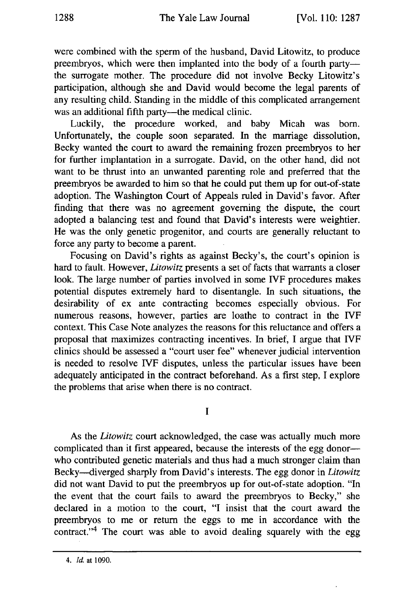were combined with the sperm of the husband, David Litowitz, to produce preembryos, which were then implanted into the body of a fourth partythe surrogate mother. The procedure did not involve Becky Litowitz's participation, although she and David would become the legal parents of any resulting child. Standing in the middle of this complicated arrangement was an additional fifth party--- the medical clinic.

Luckily, the procedure worked, and baby Micah was born. Unfortunately, the couple soon separated. In the marriage dissolution, Becky wanted the court to award the remaining frozen preembryos to her for further implantation in a surrogate. David, on the other hand, did not want to be thrust into an unwanted parenting role and preferred that the preembryos be awarded to him so that he could put them up for out-of-state adoption. The Washington Court of Appeals ruled in David's favor. After finding that there was no agreement governing the dispute, the court adopted a balancing test and found that David's interests were weightier. He was the only genetic progenitor, and courts are generally reluctant to force any party to become a parent.

Focusing on David's rights as against Becky's, the court's opinion is hard to fault. However, *Litowitz* presents a set of facts that warrants a closer look. The large number of parties involved in some IVF procedures makes potential disputes extremely hard to disentangle. In such situations, the desirability of ex ante contracting becomes especially obvious. For numerous reasons, however, parties are loathe to contract in the IVF context. This Case Note analyzes the reasons for this reluctance and offers a proposal that maximizes contracting incentives. In brief, I argue that IVF clinics should be assessed a "court user fee" whenever judicial intervention is needed to resolve IVF disputes, unless the particular issues have been adequately anticipated in the contract beforehand. As a first step, I explore the problems that arise when there is no contract.

**I**

As the *Litowitz* court acknowledged, the case was actually much more complicated than it first appeared, because the interests of the egg donorwho contributed genetic materials and thus had a much stronger claim than Becky-diverged sharply from David's interests. The egg donor in *Litowitz* did not want David to put the preembryos up for out-of-state adoption. "In the event that the court fails to award the preembryos to Becky," she declared in a motion to the court, "I insist that the court award the preembryos to me or return the eggs to me in accordance with the contract."<sup>4</sup> The court was able to avoid dealing squarely with the egg

*<sup>4.</sup> Id.* at **1090.**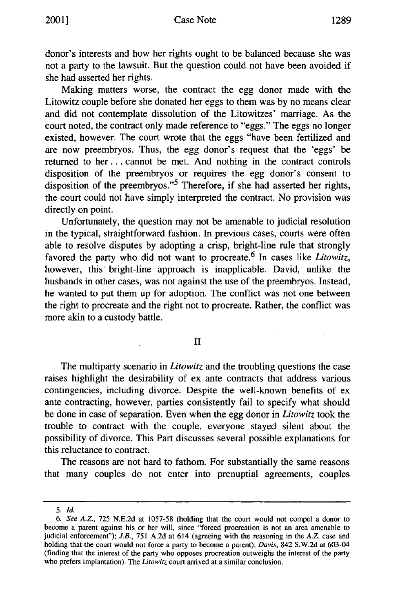donor's interests and how her rights ought to be balanced because she was not a party to the lawsuit. But the question could not have been avoided if she had asserted her rights.

Making matters worse, the contract the egg donor made with the Litowitz couple before she donated her eggs to them was by no means clear and did not contemplate dissolution of the Litowitzes' marriage. As the court noted, the contract only made reference to "eggs." The eggs no longer existed, however. The court wrote that the eggs "have been fertilized and are now preembryos. Thus, the egg donor's request that the 'eggs' be returned to her.., cannot be met. And nothing in the contract controls disposition of the preembryos or requires the egg donor's consent to disposition of the preembryos."<sup>5</sup> Therefore, if she had asserted her rights, the court could not have simply interpreted the contract. No provision was directly on point.

Unfortunately, the question may not be amenable to judicial resolution in the typical, straightforward fashion. In previous cases, courts were often able to resolve disputes by adopting a crisp, bright-line rule that strongly favored the party who did not want to procreate.<sup>6</sup> In cases like *Litowitz*, however, this' bright-line approach is inapplicable. David, unlike the husbands in other cases, was not against the use of the preembryos. Instead, he wanted to put them up for adoption. The conflict was not one between the right to procreate and the right not to procreate. Rather, the conflict was more akin to a custody battle.

II

The multiparty scenario in *Litowitz* and the troubling questions the case raises highlight the desirability of ex ante contracts that address various contingencies, including divorce. Despite the well-known benefits of ex ante contracting, however, parties consistently fail to specify what should be done in case of separation. Even when the egg donor in *Litowitz* took the trouble to contract with the couple, everyone stayed silent about the possibility of divorce. This Part discusses several possible explanations for this reluctance to contract.

The reasons are not hard to fathom. For substantially the same reasons that many couples do not enter into prenuptial agreements, couples

*<sup>5.</sup> Id.*

*<sup>6.</sup> See A.Z.,* 725 N.E.2d at 1057-58 (holding that the court would not compel a donor to become a parent against his or her will, since "forced procreation is not an area amenable to judicial enforcement"); *J.B.,* 751 A.2d at 614 (agreeing with the reasoning in the *A.Z* case and holding that the court would not force a party to become a parent); *Davis,* 842 S.W.2d at 603-04 (finding that the interest of the party who opposes procreation outweighs the interest of the party who prefers implantation). The *Litowitz* court arrived at a similar conclusion.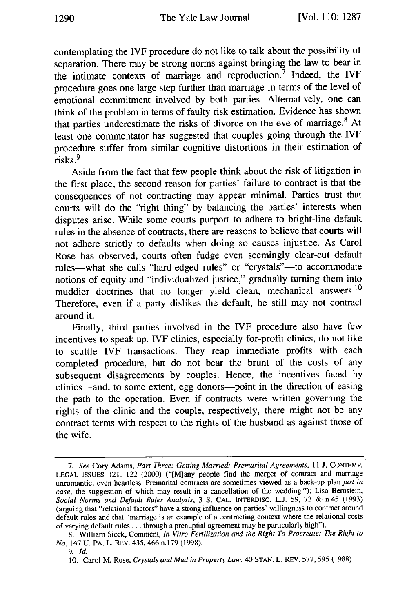contemplating the IVF procedure do not like to talk about the possibility of separation. There may be strong norms against bringing the law to bear in the intimate contexts of marriage and reproduction.<sup>7</sup> Indeed, the IVF procedure goes one large step further than marriage in terms of the level of emotional commitment involved by both parties. Alternatively, one can think of the problem in terms of faulty risk estimation. Evidence has shown that parties underestimate the risks of divorce on the eve of marriage.<sup>8</sup> At least one commentator has suggested that couples going through the IVF procedure suffer from similar cognitive distortions in their estimation of risks.<sup>9</sup>

Aside from the fact that few people think about the risk of litigation in the first place, the second reason for parties' failure to contract is that the consequences of not contracting may appear minimal. Parties trust that courts will do the "right thing" by balancing the parties' interests when disputes arise. While some courts purport to adhere to bright-line default rules in the absence of contracts, there are reasons to believe that courts will not adhere strictly to defaults when doing so causes injustice. As Carol Rose has observed, courts often fudge even seemingly clear-cut default rules-what she calls "hard-edged rules" or "crystals"-- to accommodate notions of equity and "individualized justice," gradually turning them into muddier doctrines that no longer yield clean, mechanical answers.<sup>10</sup> Therefore, even if a party dislikes the default, he still may not contract around it.

Finally, third parties involved in the IVF procedure also have few incentives to speak up. IVF clinics, especially for-profit clinics, do not like to scuttle IVF transactions. They reap immediate profits with each completed procedure, but do not bear the brunt of the costs of any subsequent disagreements by couples. Hence, the incentives faced by clinics-and, to some extent, egg donors-point in the direction of easing the path to the operation. Even if contracts were written governing the rights of the clinic and the couple, respectively, there might not be any contract terms with respect to the rights of the husband as against those of the wife.

*<sup>7.</sup> See* Cory Adams, *Part Three: Getting Married: Premarital Agreements,* 11 J. **CONTEMP.** LEGAL ISSUES 121, 122 (2000) ("[M]any people find the merger of contract and marriage unromantic, even heartless. Premarital contracts are sometimes viewed as a back-up plan *just in case,* the suggestion of which may result in a cancellation of the wedding."); Lisa Bernstein, *Social Norms and Default Rules Analysis,* 3 **S.** CAL. INTERDISC. L.J. 59, 73 & n.45 (1993) (arguing that "relational factors" have a strong influence on parties' willingness to contract around default rules and that "marriage is an example of a contracting context where the relational costs of varying default rules... through a prenuptial agreement may be particularly high").

<sup>8.</sup> William Sieck, Comment, *In Vitro Fertilization and the Right To Procreate: The Right to No,* 147 U. PA. L. REV. 435, 466 n.179 (1998).

<sup>9.</sup> *Id.*

<sup>10.</sup> Carol M. Rose, *Crystals and Mud in Property Law,* 40 STAN. L. REV. 577,595 (1988).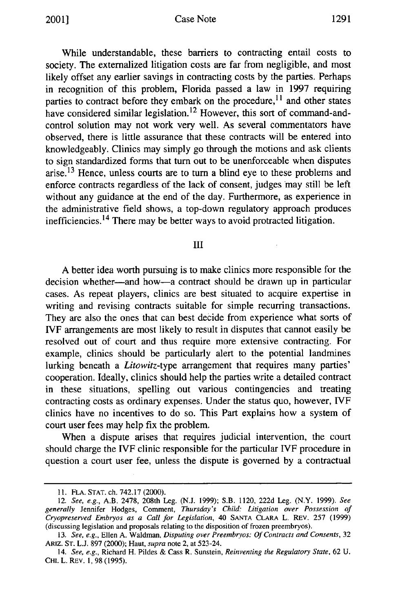While understandable, these barriers to contracting entail costs to society. The externalized litigation costs are far from negligible, and most likely offset any earlier savings in contracting costs by the parties. Perhaps in recognition of this problem, Florida passed a law in 1997 requiring parties to contract before they embark on the procedure, $^{11}$  and other states have considered similar legislation.<sup>12</sup> However, this sort of command-andcontrol solution may not work very well. As several commentators have observed, there is little assurance that these contracts will be entered into knowledgeably. Clinics may simply go through the motions and ask clients to sign standardized forms that turn out to be unenforceable when disputes arise.<sup>13</sup> Hence, unless courts are to turn a blind eye to these problems and enforce contracts regardless of the lack of consent, judges may still be left without any guidance at the end of the day. Furthermore, as experience in the administrative field shows, a top-down regulatory approach produces inefficiencies. 14 There may be better ways to avoid protracted litigation.

III

A better idea worth pursuing is to make clinics more responsible for the decision whether—and how—a contract should be drawn up in particular cases. As repeat players, clinics are best situated to acquire expertise in writing and revising contracts suitable for simple recurring transactions. They are also the ones that can best decide from experience what sorts of IVF arrangements are most likely to result in disputes that cannot easily be resolved out of court and thus require more extensive contracting. For example, clinics should be particularly alert to the potential landmines lurking beneath a *Litowitz-type* arrangement that requires many parties' cooperation. Ideally, clinics should help the parties write a detailed contract in these situations, spelling out various contingencies and treating contracting costs as ordinary expenses. Under the status quo, however, IVF clinics have no incentives to do so. This Part explains how a system of court user fees may help fix the problem.

When a dispute arises that requires judicial intervention, the court should charge the IVF clinic responsible for the particular IVF procedure in question a court user fee, unless the dispute is governed by a contractual

<sup>11.</sup> FLA. STAT. ch. 742.17 (2000).

<sup>12.</sup> See, e.g., A.B. 2478, 208th Leg. (N.J. 1999); S.B. 1120, 222d Leg. (N.Y. 1999). See generally Jennifer Hodges, Comment, Thursday's Child: Litigation over Possession of Cryopreserved Embryos as a Call for Legislation, 40 **SANTA** CLARA L. REV. 257 (1999) (discussing legislation and proposals relating to the disposition of frozen preembryos).

<sup>13.</sup> See, e.g., Ellen A. Waldman, Disputing over Preembryos: Of Contracts and Consents, 32 ARIZ. ST. L.J. 897 (2000); Haut, supra note 2, at 523-24.

<sup>14.</sup> See, e.g., Richard H. Pildes & Cass R. Sunstein, Reinventing the Regulatory State, 62 U. CHI. L. REv. **1,** 98 (1995).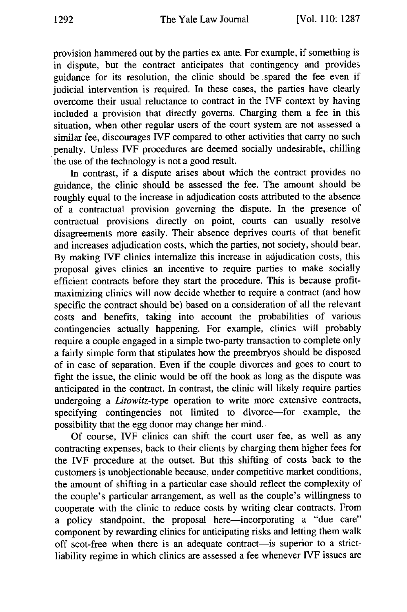provision hammered out by the parties ex ante. For example, if something is in dispute, but the contract anticipates that contingency and provides guidance for its resolution, the clinic should be .spared the fee even if judicial intervention is required. In these cases, the parties have clearly overcome their usual reluctance to contract in the IVF context by having included a provision that directly governs. Charging them a fee in this situation, when other regular users of the court system are not assessed a similar fee, discourages IVF compared to other activities that carry no such penalty. Unless IVF procedures are deemed socially undesirable, chilling the use of the technology is not a good result.

In contrast, if a dispute arises about which the contract provides no guidance, the clinic should be assessed the fee. The amount should be roughly equal to the increase in adjudication costs attributed to the absence of a contractual provision governing the dispute. In the presence of contractual provisions directly on point, courts can usually resolve disagreements more easily. Their absence deprives courts of that benefit and increases adjudication costs, which the parties, not society, should bear. By making IVF clinics internalize this increase in adjudication costs, this proposal gives clinics an incentive to require parties to make socially efficient contracts before they start the procedure. This is because profitmaximizing clinics will now decide whether to require a contract (and how specific the contract should be) based on a consideration of all the relevant costs and benefits, taking into account the probabilities of various contingencies actually happening. For example, clinics will probably require a couple engaged in a simple two-party transaction to complete only a fairly simple form that stipulates how the preembryos should be disposed of in case of separation. Even if the couple divorces and goes to court to fight the issue, the clinic would be off the hook as long as the dispute was anticipated in the contract. In contrast, the clinic will likely require parties undergoing a *Litowitz-type* operation to write more extensive contracts, specifying contingencies not limited to divorce-for example, the possibility that the egg donor may change her mind.

Of course, IVF clinics can shift the court user fee, as well as any contracting expenses, back to their clients by charging them higher fees for the IVF procedure at the outset. But this shifting of costs back to the customers is unobjectionable because, under competitive market conditions, the amount of shifting in a particular case should reflect the complexity of the couple's particular arrangement, as well as the couple's willingness to cooperate with the clinic to reduce costs by writing clear contracts. From a policy standpoint, the proposal here—incorporating a "due care" component by rewarding clinics for anticipating risks and letting them walk off scot-free when there is an adequate contract-is superior to a strictliability regime in which clinics are assessed a fee whenever IVF issues are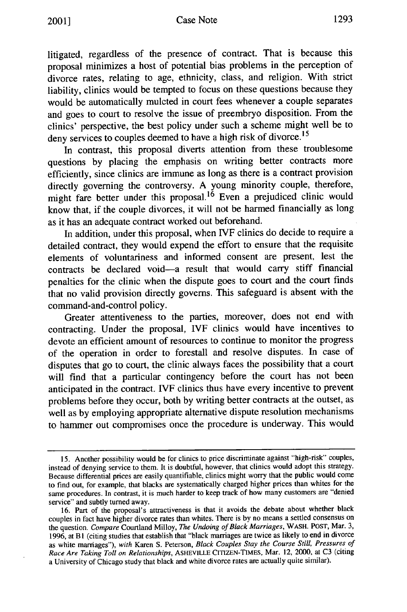litigated, regardless of the presence of contract. That is because this proposal minimizes a host of potential bias problems in the perception of divorce rates, relating to age, ethnicity, class, and religion. With strict liability, clinics would be tempted to focus on these questions because they would be automatically mulcted in court fees whenever a couple separates and goes to court to resolve the issue of preembryo disposition. From the clinics' perspective, the best policy under such a scheme might well be to deny services to couples deemed to have a high risk of divorce.<sup>15</sup>

In contrast, this proposal diverts attention from these troublesome questions by placing the emphasis on writing better contracts more efficiently, since clinics are immune as long as there is a contract provision directly governing the controversy. A young minority couple, therefore, might fare better under this proposal.<sup>16</sup> Even a prejudiced clinic would know that, if the couple divorces, it will not be harmed financially as long as it has an adequate contract worked out beforehand.

In addition, under this proposal, when IVF clinics do decide to require a detailed contract, they would expend the effort to ensure that the requisite elements of voluntariness and informed consent are present, lest the contracts be declared void-a result that would carry stiff financial penalties for the clinic when the dispute goes to court and the court finds that no valid provision directly governs. This safeguard is absent with the command-and-control policy.

Greater attentiveness to the parties, moreover, does not end with contracting. Under the proposal, IVF clinics would have incentives to devote an efficient amount of resources to continue to monitor the progress of the operation in order to forestall and resolve disputes. In case of disputes that go to court, the clinic always faces the possibility that a court will find that a particular contingency before the court has not been anticipated in the contract. IVF clinics thus have every incentive to prevent problems before they occur, both by writing better contracts at the outset, as well as by employing appropriate alternative dispute resolution mechanisms to hammer out compromises once the procedure is underway. This would

<sup>15.</sup> Another possibility would be for clinics to price discriminate against "high-risk" couples, instead of denying service to them. It is doubtful, however, that clinics would adopt this strategy. Because differential prices are easily quantifiable, clinics might worry that the public would come to find out, for example, that blacks are systematically charged higher prices than whites for the same procedures. In contrast, it is much harder to keep track of how many customers are "denied service" and subtly turned away.

<sup>16.</sup> Part of the proposal's attractiveness is that it avoids the debate about whether black couples in fact have higher divorce rates than whites. There is by no means a settled consensus on the question. *Compare* Courtland Milloy, *The Undoing of Black Marriages,* WASH. POST, Mar. 3, 1996, at B t (citing studies that establish that "black marriages are twice as likely to end in divorce as white marriages"), *with* Karen S. Peterson, *Black Couples Stay the Course Still, Pressures of Race Are Taking Toll on Relationships,* ASHEVILLE CITIZEN-TIMES, Mar. 12, 2000, at C3 (citing a University of Chicago study that black and white divorce rates are actually quite similar).